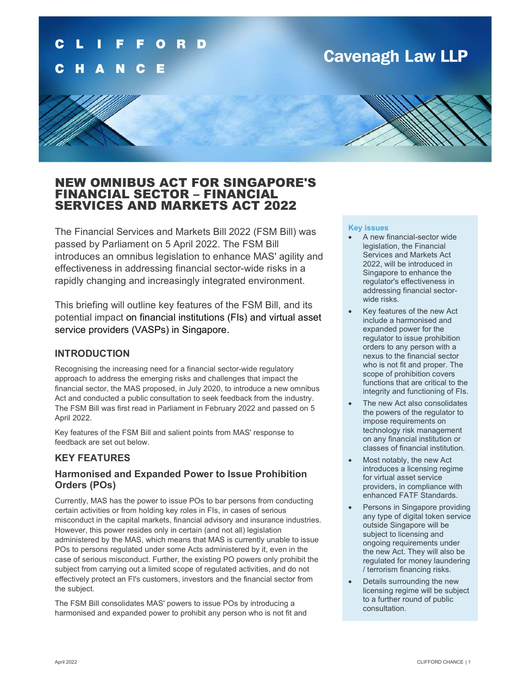### D

## **Cavenagh Law LLP**

### NEW OMNIBUS ACT FOR SINGAPORE'S FINANCIAL SECTOR – FINANCIAL SERVICES AND MARKETS ACT 2022

The Financial Services and Markets Bill 2022 (FSM Bill) was passed by Parliament on 5 April 2022. The FSM Bill introduces an omnibus legislation to enhance MAS' agility and effectiveness in addressing financial sector-wide risks in a rapidly changing and increasingly integrated environment.

This briefing will outline key features of the FSM Bill, and its potential impact on financial institutions (FIs) and virtual asset service providers (VASPs) in Singapore.

### INTRODUCTION

Recognising the increasing need for a financial sector-wide regulatory approach to address the emerging risks and challenges that impact the financial sector, the MAS proposed, in July 2020, to introduce a new omnibus Act and conducted a public consultation to seek feedback from the industry. The FSM Bill was first read in Parliament in February 2022 and passed on 5 April 2022.

Key features of the FSM Bill and salient points from MAS' response to feedback are set out below.

### KEY FEATURES

### Harmonised and Expanded Power to Issue Prohibition Orders (POs)

Currently, MAS has the power to issue POs to bar persons from conducting certain activities or from holding key roles in FIs, in cases of serious misconduct in the capital markets, financial advisory and insurance industries. However, this power resides only in certain (and not all) legislation administered by the MAS, which means that MAS is currently unable to issue POs to persons regulated under some Acts administered by it, even in the case of serious misconduct. Further, the existing PO powers only prohibit the subject from carrying out a limited scope of regulated activities, and do not effectively protect an FI's customers, investors and the financial sector from the subject.

The FSM Bill consolidates MAS' powers to issue POs by introducing a harmonised and expanded power to prohibit any person who is not fit and

#### Key issues

- A new financial-sector wide legislation, the Financial Services and Markets Act 2022, will be introduced in Singapore to enhance the regulator's effectiveness in addressing financial sectorwide risks.
- Key features of the new Act include a harmonised and expanded power for the regulator to issue prohibition orders to any person with a nexus to the financial sector who is not fit and proper. The scope of prohibition covers functions that are critical to the integrity and functioning of FIs.
- The new Act also consolidates the powers of the regulator to impose requirements on technology risk management on any financial institution or classes of financial institution.
- Most notably, the new Act introduces a licensing regime for virtual asset service providers, in compliance with enhanced FATF Standards.
- Persons in Singapore providing any type of digital token service outside Singapore will be subject to licensing and ongoing requirements under the new Act. They will also be regulated for money laundering / terrorism financing risks.
- Details surrounding the new licensing regime will be subject to a further round of public consultation.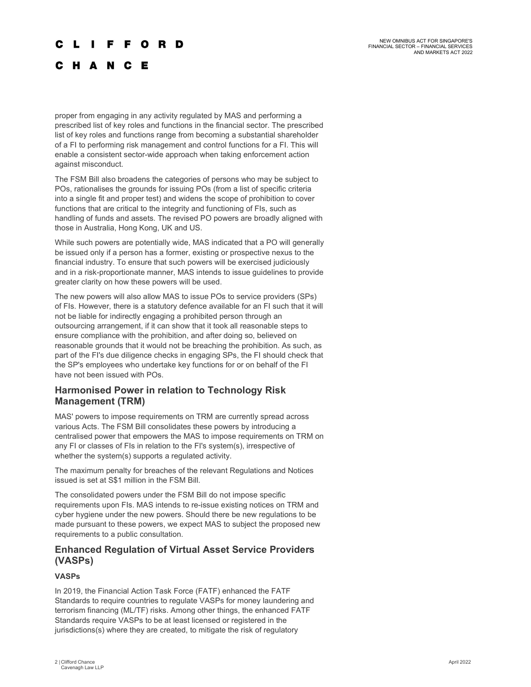### **CLIFFORD**

### C H A N C E

proper from engaging in any activity regulated by MAS and performing a prescribed list of key roles and functions in the financial sector. The prescribed list of key roles and functions range from becoming a substantial shareholder of a FI to performing risk management and control functions for a FI. This will enable a consistent sector-wide approach when taking enforcement action against misconduct.

The FSM Bill also broadens the categories of persons who may be subject to POs, rationalises the grounds for issuing POs (from a list of specific criteria into a single fit and proper test) and widens the scope of prohibition to cover functions that are critical to the integrity and functioning of FIs, such as handling of funds and assets. The revised PO powers are broadly aligned with those in Australia, Hong Kong, UK and US.

While such powers are potentially wide, MAS indicated that a PO will generally be issued only if a person has a former, existing or prospective nexus to the financial industry. To ensure that such powers will be exercised judiciously and in a risk-proportionate manner, MAS intends to issue guidelines to provide greater clarity on how these powers will be used.

The new powers will also allow MAS to issue POs to service providers (SPs) of FIs. However, there is a statutory defence available for an FI such that it will not be liable for indirectly engaging a prohibited person through an outsourcing arrangement, if it can show that it took all reasonable steps to ensure compliance with the prohibition, and after doing so, believed on reasonable grounds that it would not be breaching the prohibition. As such, as part of the FI's due diligence checks in engaging SPs, the FI should check that the SP's employees who undertake key functions for or on behalf of the FI have not been issued with POs.

### Harmonised Power in relation to Technology Risk Management (TRM)

MAS' powers to impose requirements on TRM are currently spread across various Acts. The FSM Bill consolidates these powers by introducing a centralised power that empowers the MAS to impose requirements on TRM on any FI or classes of FIs in relation to the FI's system(s), irrespective of whether the system(s) supports a regulated activity.

The maximum penalty for breaches of the relevant Regulations and Notices issued is set at S\$1 million in the FSM Bill.

The consolidated powers under the FSM Bill do not impose specific requirements upon FIs. MAS intends to re-issue existing notices on TRM and cyber hygiene under the new powers. Should there be new regulations to be made pursuant to these powers, we expect MAS to subject the proposed new requirements to a public consultation.

### Enhanced Regulation of Virtual Asset Service Providers (VASPs)

### VASPs

In 2019, the Financial Action Task Force (FATF) enhanced the FATF Standards to require countries to regulate VASPs for money laundering and terrorism financing (ML/TF) risks. Among other things, the enhanced FATF Standards require VASPs to be at least licensed or registered in the jurisdictions(s) where they are created, to mitigate the risk of regulatory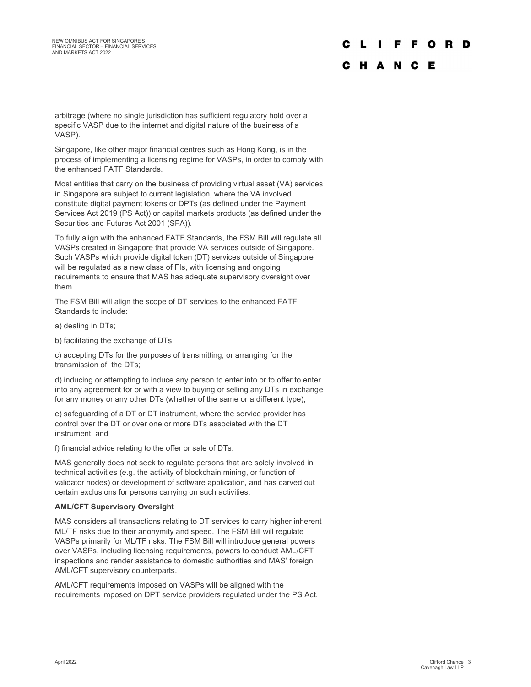# C L I F F O R D

### C H A N C E

arbitrage (where no single jurisdiction has sufficient regulatory hold over a specific VASP due to the internet and digital nature of the business of a VASP).

Singapore, like other major financial centres such as Hong Kong, is in the process of implementing a licensing regime for VASPs, in order to comply with the enhanced FATF Standards.

Most entities that carry on the business of providing virtual asset (VA) services in Singapore are subject to current legislation, where the VA involved constitute digital payment tokens or DPTs (as defined under the Payment Services Act 2019 (PS Act)) or capital markets products (as defined under the Securities and Futures Act 2001 (SFA)).

To fully align with the enhanced FATF Standards, the FSM Bill will regulate all VASPs created in Singapore that provide VA services outside of Singapore. Such VASPs which provide digital token (DT) services outside of Singapore will be regulated as a new class of FIs, with licensing and ongoing requirements to ensure that MAS has adequate supervisory oversight over them.

The FSM Bill will align the scope of DT services to the enhanced FATF Standards to include:

a) dealing in DTs;

b) facilitating the exchange of DTs;

c) accepting DTs for the purposes of transmitting, or arranging for the transmission of, the DTs;

d) inducing or attempting to induce any person to enter into or to offer to enter into any agreement for or with a view to buying or selling any DTs in exchange for any money or any other DTs (whether of the same or a different type);

e) safeguarding of a DT or DT instrument, where the service provider has control over the DT or over one or more DTs associated with the DT instrument; and

f) financial advice relating to the offer or sale of DTs.

MAS generally does not seek to regulate persons that are solely involved in technical activities (e.g. the activity of blockchain mining, or function of validator nodes) or development of software application, and has carved out certain exclusions for persons carrying on such activities.

#### AML/CFT Supervisory Oversight

MAS considers all transactions relating to DT services to carry higher inherent ML/TF risks due to their anonymity and speed. The FSM Bill will regulate VASPs primarily for ML/TF risks. The FSM Bill will introduce general powers over VASPs, including licensing requirements, powers to conduct AML/CFT inspections and render assistance to domestic authorities and MAS' foreign AML/CFT supervisory counterparts.

AML/CFT requirements imposed on VASPs will be aligned with the requirements imposed on DPT service providers regulated under the PS Act.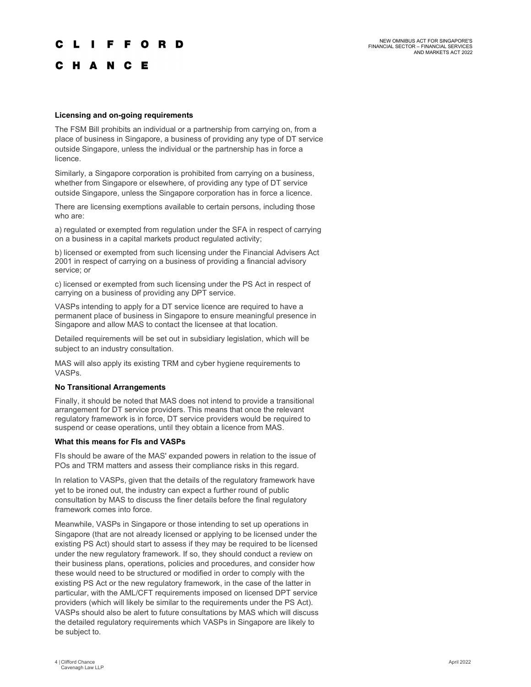### L I F F O R D

### C H A N C E

#### Licensing and on-going requirements

The FSM Bill prohibits an individual or a partnership from carrying on, from a place of business in Singapore, a business of providing any type of DT service outside Singapore, unless the individual or the partnership has in force a licence.

Similarly, a Singapore corporation is prohibited from carrying on a business, whether from Singapore or elsewhere, of providing any type of DT service outside Singapore, unless the Singapore corporation has in force a licence.

There are licensing exemptions available to certain persons, including those who are:

a) regulated or exempted from regulation under the SFA in respect of carrying on a business in a capital markets product regulated activity;

b) licensed or exempted from such licensing under the Financial Advisers Act 2001 in respect of carrying on a business of providing a financial advisory service; or

c) licensed or exempted from such licensing under the PS Act in respect of carrying on a business of providing any DPT service.

VASPs intending to apply for a DT service licence are required to have a permanent place of business in Singapore to ensure meaningful presence in Singapore and allow MAS to contact the licensee at that location.

Detailed requirements will be set out in subsidiary legislation, which will be subject to an industry consultation.

MAS will also apply its existing TRM and cyber hygiene requirements to VASPs.

#### No Transitional Arrangements

Finally, it should be noted that MAS does not intend to provide a transitional arrangement for DT service providers. This means that once the relevant regulatory framework is in force, DT service providers would be required to suspend or cease operations, until they obtain a licence from MAS.

#### What this means for FIs and VASPs

FIs should be aware of the MAS' expanded powers in relation to the issue of POs and TRM matters and assess their compliance risks in this regard.

In relation to VASPs, given that the details of the regulatory framework have yet to be ironed out, the industry can expect a further round of public consultation by MAS to discuss the finer details before the final regulatory framework comes into force.

Meanwhile, VASPs in Singapore or those intending to set up operations in Singapore (that are not already licensed or applying to be licensed under the existing PS Act) should start to assess if they may be required to be licensed under the new regulatory framework. If so, they should conduct a review on their business plans, operations, policies and procedures, and consider how these would need to be structured or modified in order to comply with the existing PS Act or the new regulatory framework, in the case of the latter in particular, with the AML/CFT requirements imposed on licensed DPT service providers (which will likely be similar to the requirements under the PS Act). VASPs should also be alert to future consultations by MAS which will discuss the detailed regulatory requirements which VASPs in Singapore are likely to be subject to.